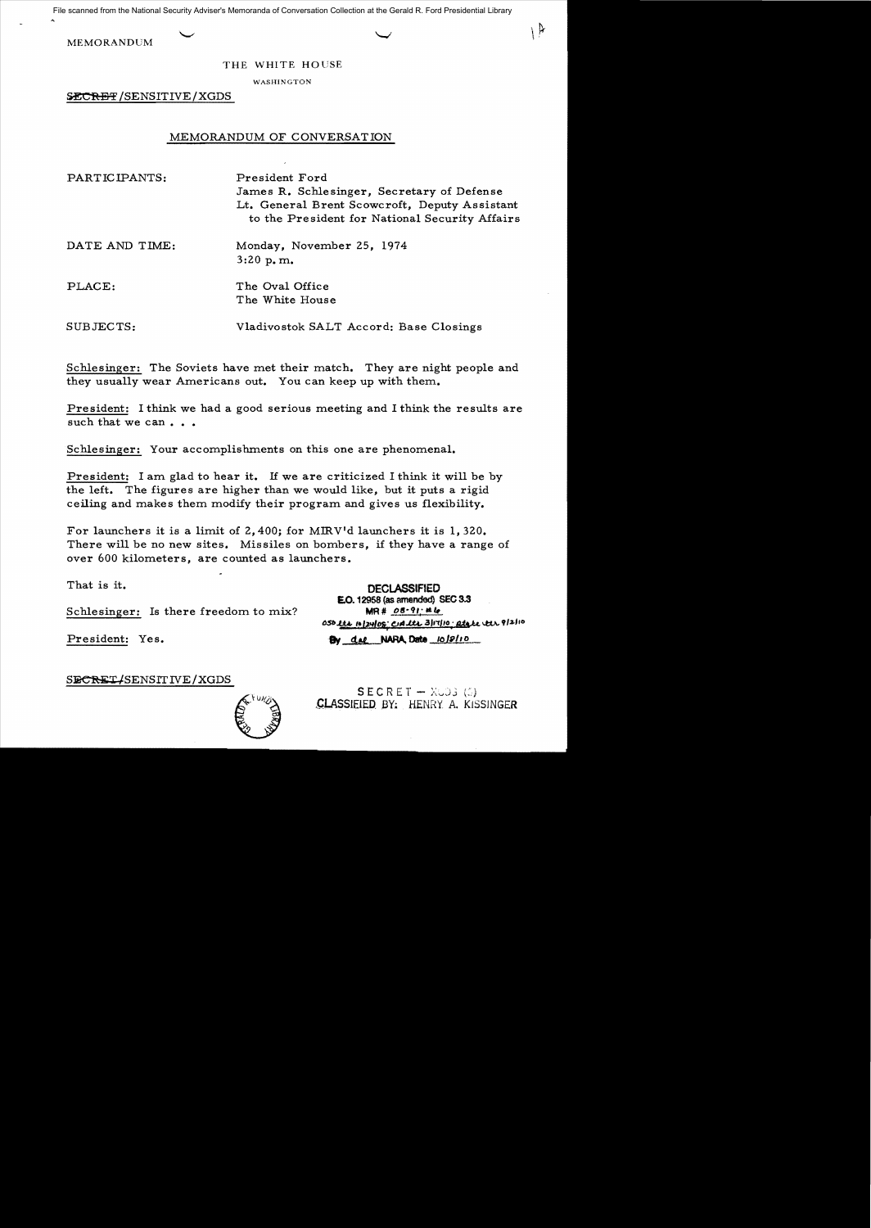File scanned from the National Security Adviser's Memoranda of Conversation Collection at the Gerald R. Ford Presidential Library

MEMORANDUM

 $\rightarrow$ 

THE WHITE HOUSE

WASHINGTON

SECRET/SENSITIVE/XGDS

# MEMORANDUM OF CONVERSATION

PARTICIPANTS: President Ford James R. Schlesinger, Secretary of Defense Lt. General Brent Scowcroft, Deputy Assistant to the President for National Security Affairs

DATE AND TIME: Monday, November 25, 1974 3:20 p. m.

PLACE: The Oval Office The White House

SUBJECTS: Vladivostok SALT Accord: Base Closings

Schlesinger: The Soviets have met their match. They are night people and they usually wear Americans out. You can keep up with them.

President: I think we had a good serious meeting and I think the results are such that we can . . .

Schlesinger: Your accomplishments on this one are phenomenal.

President: I am glad to hear it. If we are criticized I think it will be by the left. The figures are higher than we would like, but it puts a rigid ceiling and makes them modify their program and gives us flexibility.

For launchers it is a limit of 2,400; for MIRV'd launchers it is 1,320. There will be no new sites. Missiles on bombers, if they have a range of over 600 kilometers, are counted as launchers.

Schlesinger: Is there freedom to mix? MR# *08-91;* #le

SECRET/SENSITIVE/XGDS



That is it. DECLASSIFIED E.O. 12958 (as amended) SEC 3.3 05b <u>lts 10/24/08: CIA lts 3/17/10 · ata</u> te ter 9/2/10 President: Yes. 8v<sub>4</sub> dat NARA, Date 10 *Islie* 

> $SECRET - XUJ3 (5)$ CLASSIEIED BY: HENRY A. KISSINGER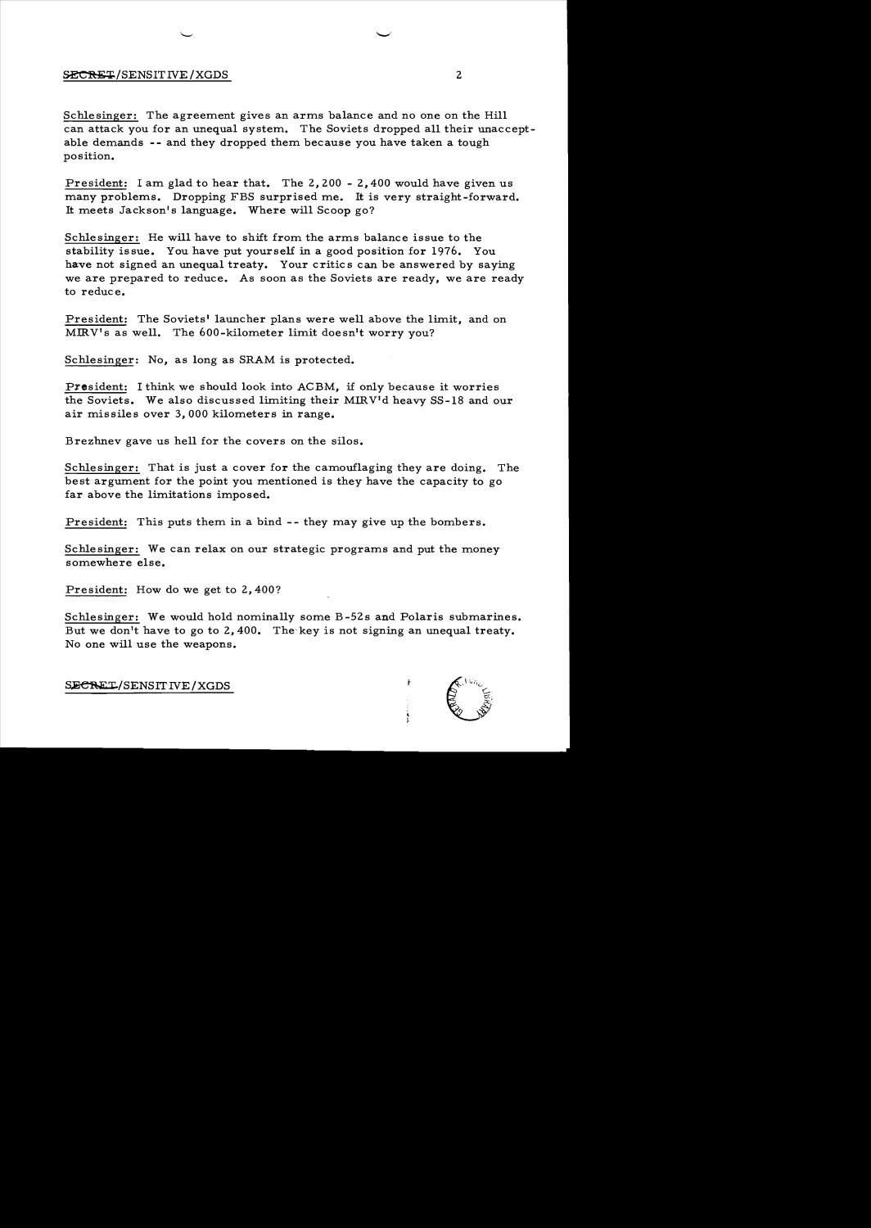## **EXCRET/SENSITIVE/XGDS** 2

Schlesinger: The agreement gives an arms balance and no one on the Hill can attack you for an unequal system. The Soviets dropped all their unacceptable demands -- and they dropped them because you have taken a tough position.

President: I am glad to hear that. The 2,200 - 2,400 would have given us many problems. Dropping FBS surprised me. It is very straight-forward. It meets Jackson's language. Where will Scoop go?

Schlesinger: He will have to shift from the arms balance issue to the stability issue. You have put yourself in a good position for 1976. You have not signed an unequal treaty. Your critics can be answered by saying we are prepared to reduce. As soon as the Soviets are ready, we are ready to reduce.

President: The Soviets' launcher plans were well above the limit, and on MIRY's as well. The 600-kilometer limit doesn't worry you?

Schlesinger: No, as long as SRAM is protected.

President: I think we should look into ACBM, if only because it worries the Soviets. We also discussed limiting their MIRY'd heavy SS-18 and our air missiles over 3,000 kilometers in range.

Brezhnev gave us hell for the covers on the silos.

Schlesinger: That is just a cover for the camouflaging they are doing. The best argument for the point you mentioned is they have the capacity to go far above the limitations imposed.

President: This puts them in a bind -- they may give up the bombers.

Schlesinger: We can relax on our strategic programs and put the money somewhere else.

President: How do we get to 2,400?

Schlesinger: We would hold nominally some B-52s and Polaris submarines. But we don't have to go to 2,400. The key is not signing an unequal treaty. No one will use the weapons.

SECRET/SENSITIVE/XGDS

ė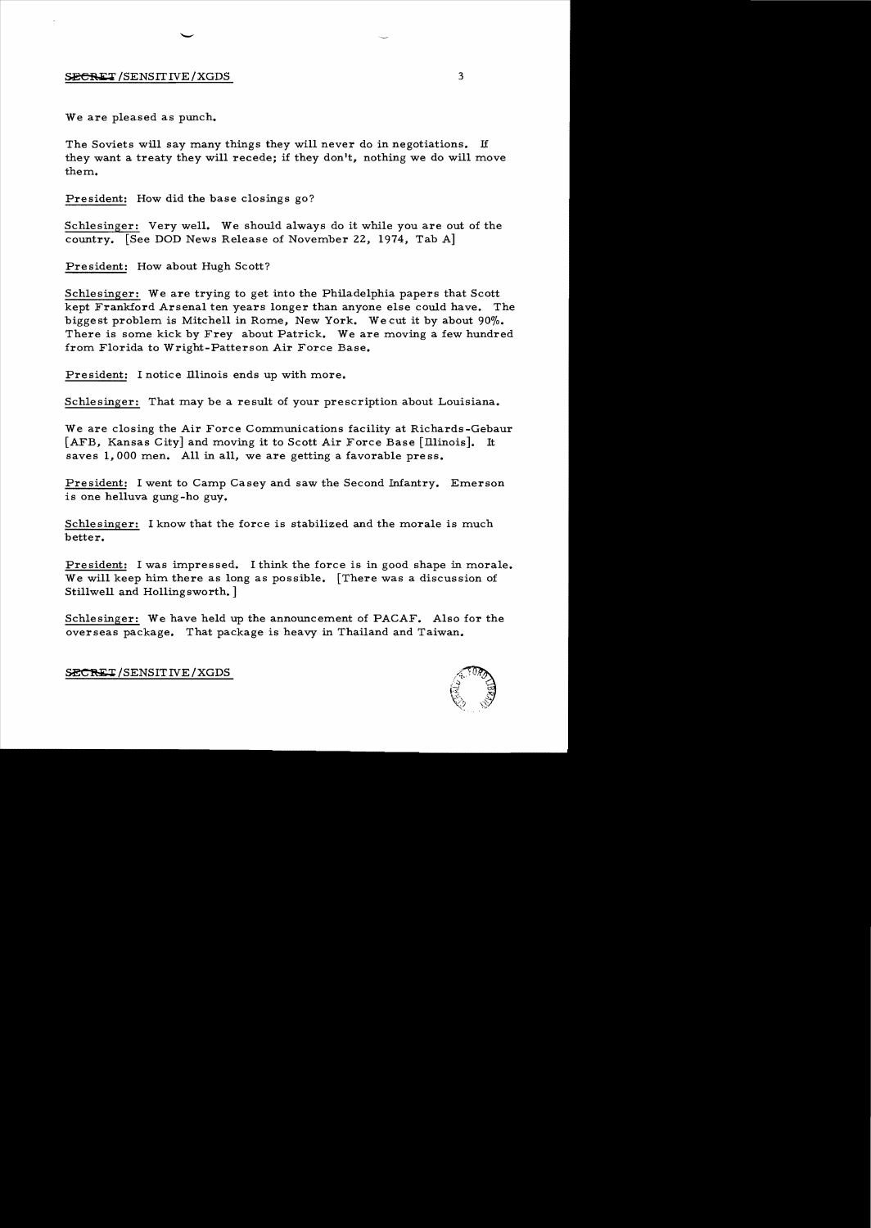## **SECRET** /SENSITIVE/XGDS 3

We are pleased as punch.

The Soviets will say many things they will never do in negotiations. If they want a treaty they will recede; if they don't, nothing we do will move them..

President: How did the base closings go?

Schlesinger: Very well. We should always do it while you are out of the country. [See DOD News Release of November 22, 1974, Tab A]

President: How about Hugh Scott?

Schlesinger: We are trying to get into the Philadelphia papers that Scott kept Frankford Arsenal ten years longer than anyone else could have. The biggest problem is Mitchell in Rome. New York. We cut it by about 90%. There is some kick by Frey about Patrick. We are moving a few hundred from. Florida to Wright-Patterson Air Force Base.

President: I notice Illinois ends up with more.

Schlesinger: That may be a result of your prescription about Louisiana.

We are closing the Air Force Communications facility at Richards-Gebaur [AFB. Kansas City] and moving it to Scott Air Force Base [Illinois]. It saves  $1,000$  men. All in all, we are getting a favorable press.

President: I went to Camp Casey and saw the Second Infantry. Emerson is one helluva gung-ho guy.

Schlesinger: I know that the force is stabilized and the morale is much better.

President: I was impressed. I think the force is in good shape in morale. We will keep him there as long as possible. [There was a discussion of Stillwell and Holling sworth. ]

Schlesinger: We have held up the announcement of PACAF. Also for the overseas package. That package is heavy in Thailand and Taiwan.

SECRET/SENSITIVE/XGDS

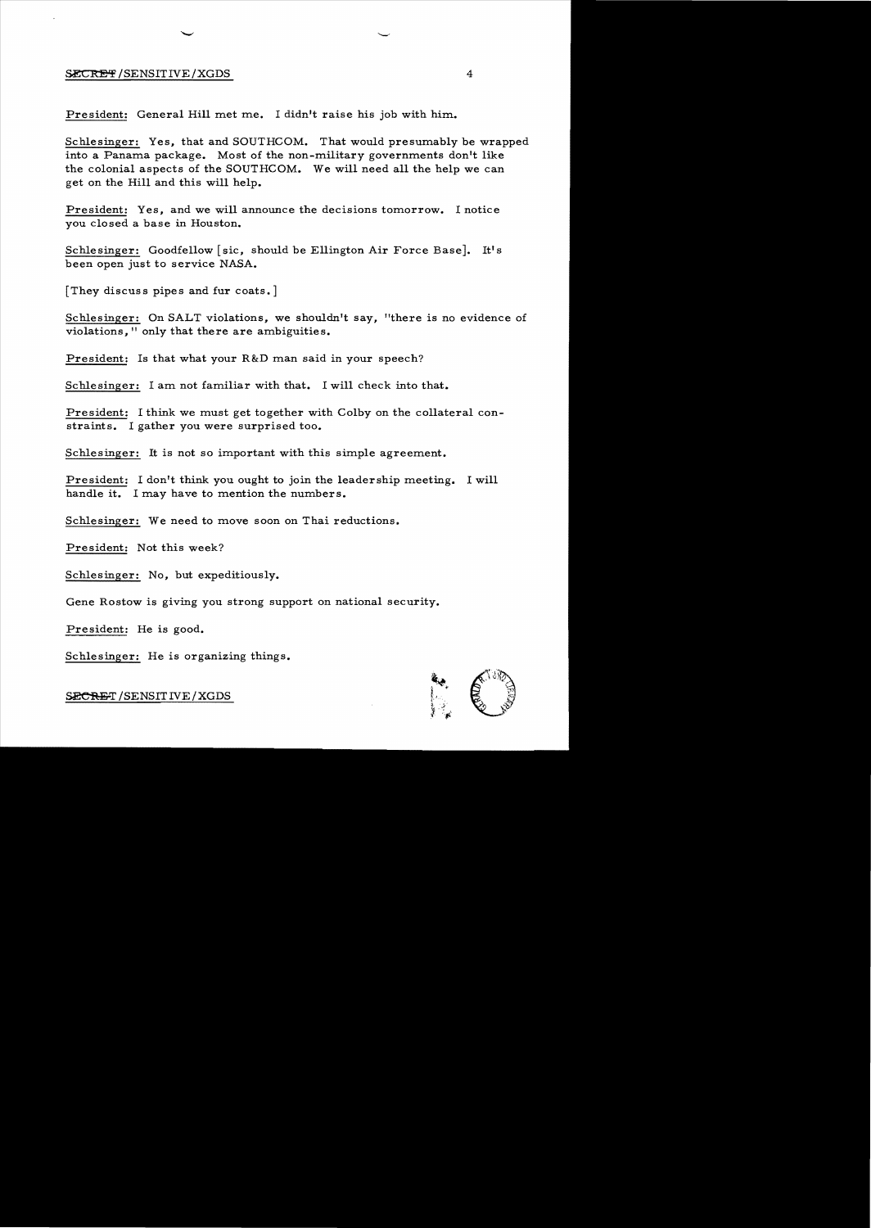### **SECRET**/SENSITIVE/XGDS 4

President: General Hill met me. I didn't raise his job with him.

Schlesinger: Yes, that and SOUTHCOM. That would presumably be wrapped into a Panama package. Most of the non-military governments don't like the colonial aspects of the SOUTHCOM. We will need all the help we can get on the Hill and this will help.

President: Yes, and we will announce the decisions tomorrow. I notice you closed a base in Houston.

Schlesinger: Goodfellow [sic, should be Ellington Air Force Base]. It's been open just to service NASA.

[They discuss pipes and fur coats.]

Schlesinger: On SALT violations, we shouldn't say, "there is no evidence of violations, " only that there are ambiguities.

President: Is that what your R&D man said in your speech?

Schlesinger: I am not familiar with that. I will check into that.

President: I think we must get together with Colby on the collateral constraints. I gather you were surprised too.

Schlesinger: It is not so important with this simple agreement.

President: I don't think you ought to join the leadership meeting. I will handle it. I may have to mention the numbers.

Schlesinger: We need to move soon on Thai reductions.

President: Not this week?

Schlesinger: No, but expeditiously.

Gene Rostow is giving you strong support on national security.

President: He is good.

Schlesinger: He is organizing things.

SECRET/SENSITIVE/XGDS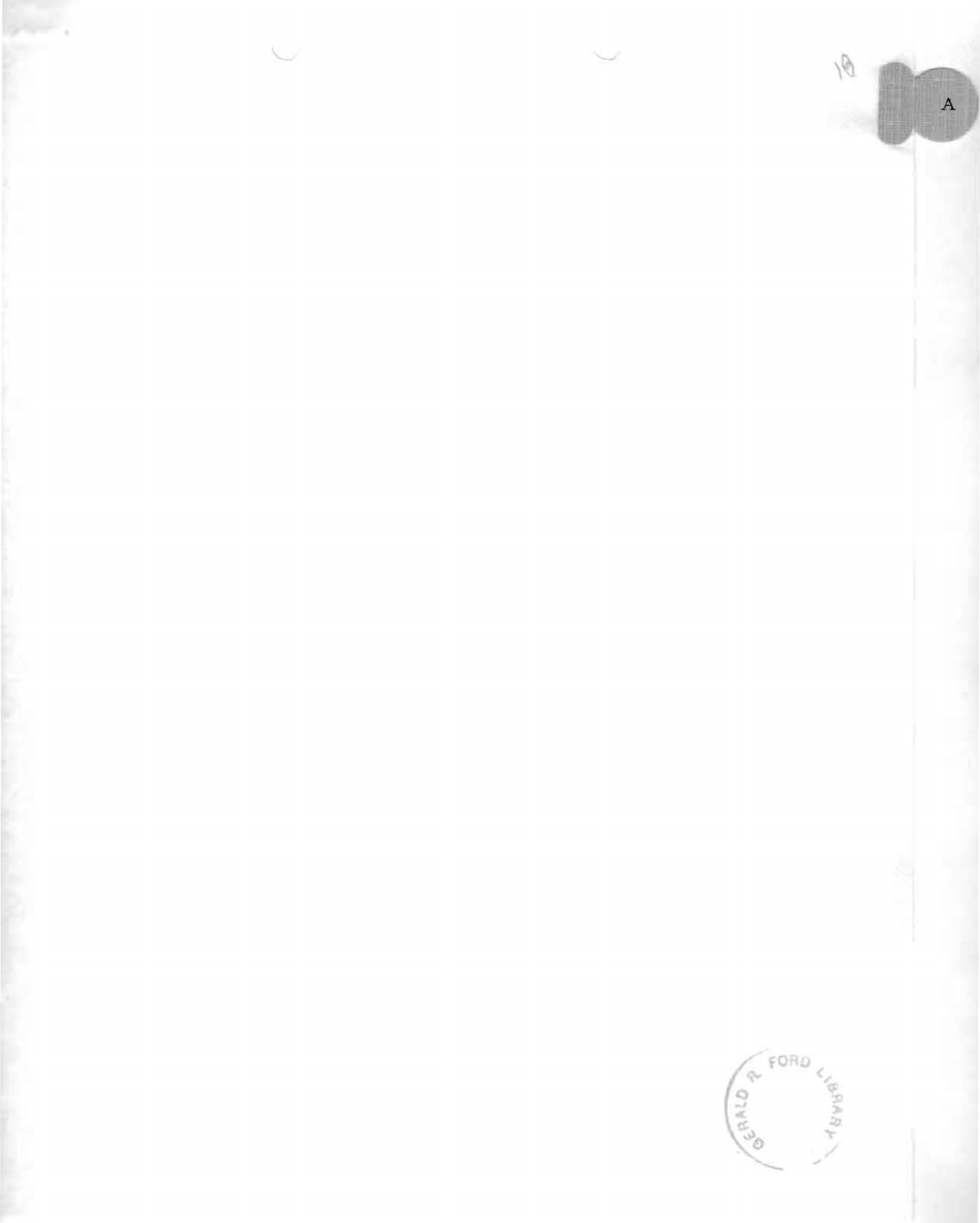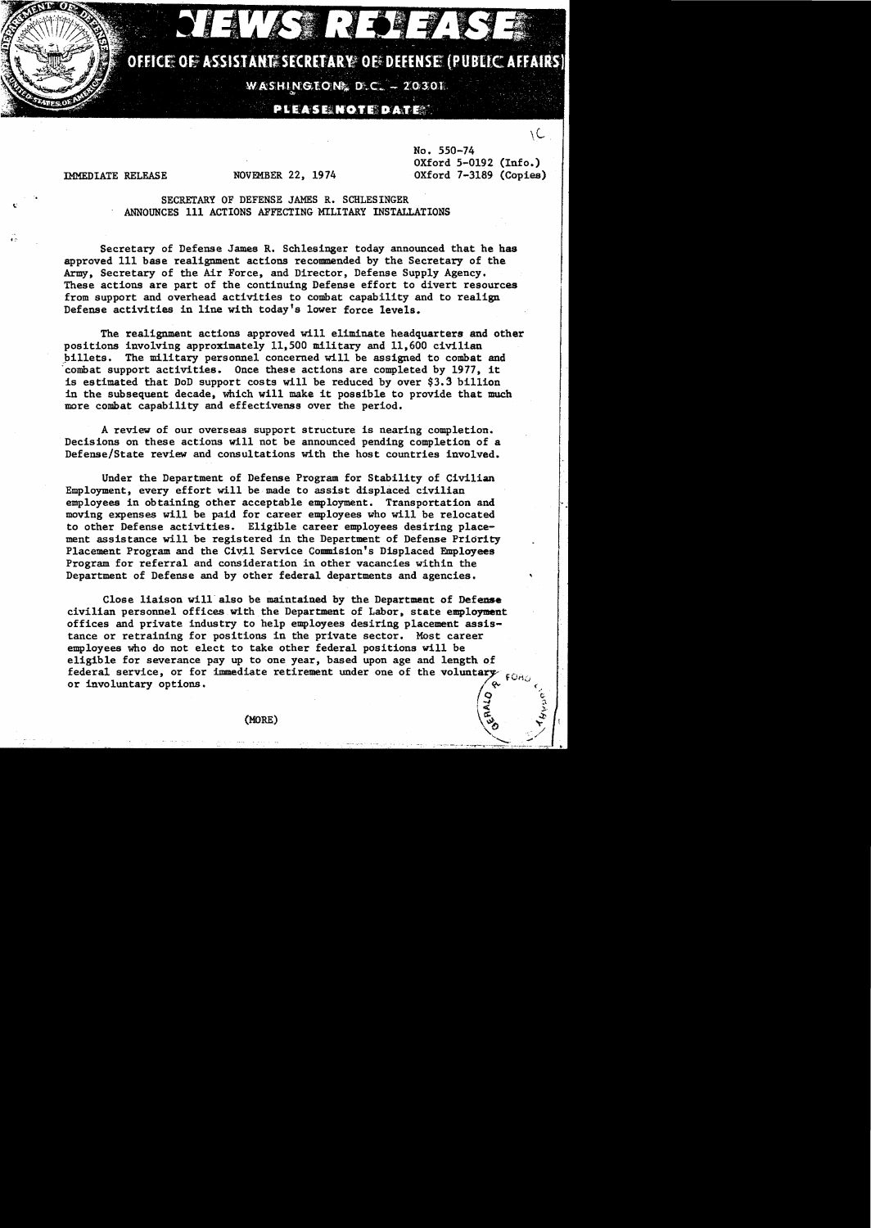

No. 550-74 OXford 5-0192 (Info.) IMMEDIATE RELEASE NOVEMBER 22, 1974 OXford 7-3189 (Copies)

۱C.

"'-..:, .".

'~~~r'7'7"':C

SECRETARY OF DEFENSE JAMES R. SCHLESINGER<br>ANNOUNCES 111 ACTIONS AFFECTING MILITARY INSTALLATIONS

Secretary of Defense James R. SChlesinger today announced that he has approved 111 base realignment actions recommended by the Secretary of the Army, Secretary of the Air Force, and Director, Defense Supply Agency. These actions are part of the continuing Defense effort to divert resources from support and overhead activities to combat capability and to realign Defense activities in line with today's lower force levels.

The realignment actions approved will eliminate headquarters and other positions involving approximately 11,500 military and 11,600 civilian billets. The military personnel concerned will be assigned to combat and 'combat support activities. Once these actions are completed by 1977, it is estimated that DoD support costs will be reduced by over \$3.3 billion in the subsequent decade, which will make it possible to provide that much more combat capability and effectivenss over the period.

A review of our overseas support structure is nearing completion. Decisions on these actions will not be announced pending completion of a Defense/State review and consultations with the host countries involved.

Under the Department of Defense Program for Stability of Civilian Employment, every effort will be made to assist displaced civilian employees in obtaining other acceptable employment. Transportation and moving expenses will be paid for career employees who will be relocated to other Defense activities. Eligible career employees desiring placement assistance will be registered in the Department of Defense Priority Placement Program and the Civil Service Commision's Displaced Employees Program for referral and consideration in other vacancies within the Department of Defense and by other federal departments and agencies.

Close liaison will' also be maintained by the Department of Defense civilian personnel offices with the Department of Labor, state employment offices and private industry to help employees desiring placement assistance or retraining for positions in the private sector. Most career employees who do not elect to take other federal positions will be eligible for severance pay up to one year, based upon age and length of federal service, or for immediate retirement under one of the voluntary or involuntary options.  $\sqrt{3}$  ....  $\frac{5}{3}$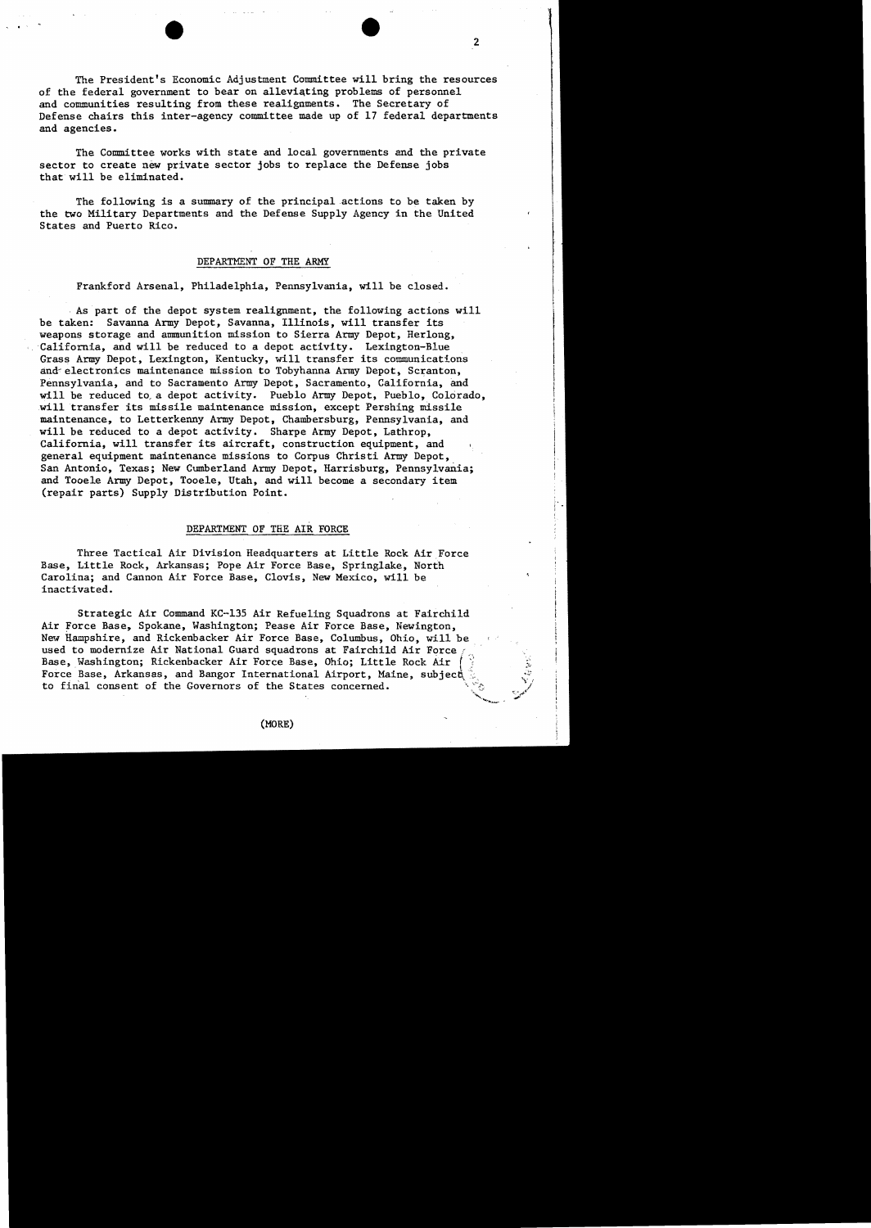The President's Economic Adjustment Committee will bring the resources of the federal government to bear on alleviating problems of personnel and communities resulting from these realignments. The Secretary of Defense chairs this inter-agency committee made up of 17 federal departments and agencies.

2

The Committee works with state and local governments and the private sector to create new private sector jobs to replace the Defense jobs that will be eliminated.

The following is a summary of the principal actions to be taken by the two Military Departments and the Defense Supply Agency in the United States and Puerto Rico.

#### DEPARTMENT OF THE ARMY

Frankford Arsenal, Philadelphia, Pennsylvania, will be closed.

As part of the depot system realignment, the following actions will be taken: Savanna Army Depot, Savanna, Illinois, will transfer its weapons storage and ammunition mission to Sierra Army Depot, Herlong, California, and will be reduced to a depot activity. Lexington-Blue Grass Army Depot, Lexington, Kentucky, will transfer its communications and electronics maintenance mission to Tobyhanna Army Depot, Scranton, Pennsylvania, and to Sacramento Army Depot, Sacramento, California, and will be reduced to, a depot activity. Pueblo Army Depot, Pueblo, Colorado, will transfer its missile maintenance mission, except Pershing missile maintenance, to Letterkenny Army Depot, Chambersburg, Pennsylvania, and will be reduced to a depot activity. Sharpe Army Depot, Lathrop, California, will transfer its aircraft, construction equipment, and general equipment maintenance missions to Corpus Christi Army Depot, San Antonio, Texas; New Cumberland Army Depot, Harrisburg, Pennsylvania; and Tooele Army Depot, Tooele, Utah, and will become a secondary item (repair parts) Supply Distribution Point.

#### DEPARTMENT OF THE AIR FORCE

Three Tactical Air Division Headquarters at Little Rock Air Force Base, Little Rock, Arkansas; Pope Air Force Base, Springlake, North Carolina; and Cannon Air Force Base, Clovis, New Mexico, will be inactivated.

Strategic Air Command KC-135 Air Refueling Squadrons at Fairchild Air Force Base, Spokane, Washington; Pease Air Force Base, Newington, New Hampshire, and Rickenbacker Air Force Base, Columbus, Ohio, will be used to modernize Air National Guard squadrons at Fairchild Air Force Base, Washington; Rickenbacker Air Force Base, Ohio; Little Rock Air r Force Base, Arkansas, and Bangor International Airport, Maine, subjecuped and states concerned. <u>g</u> - 92

(MORE)